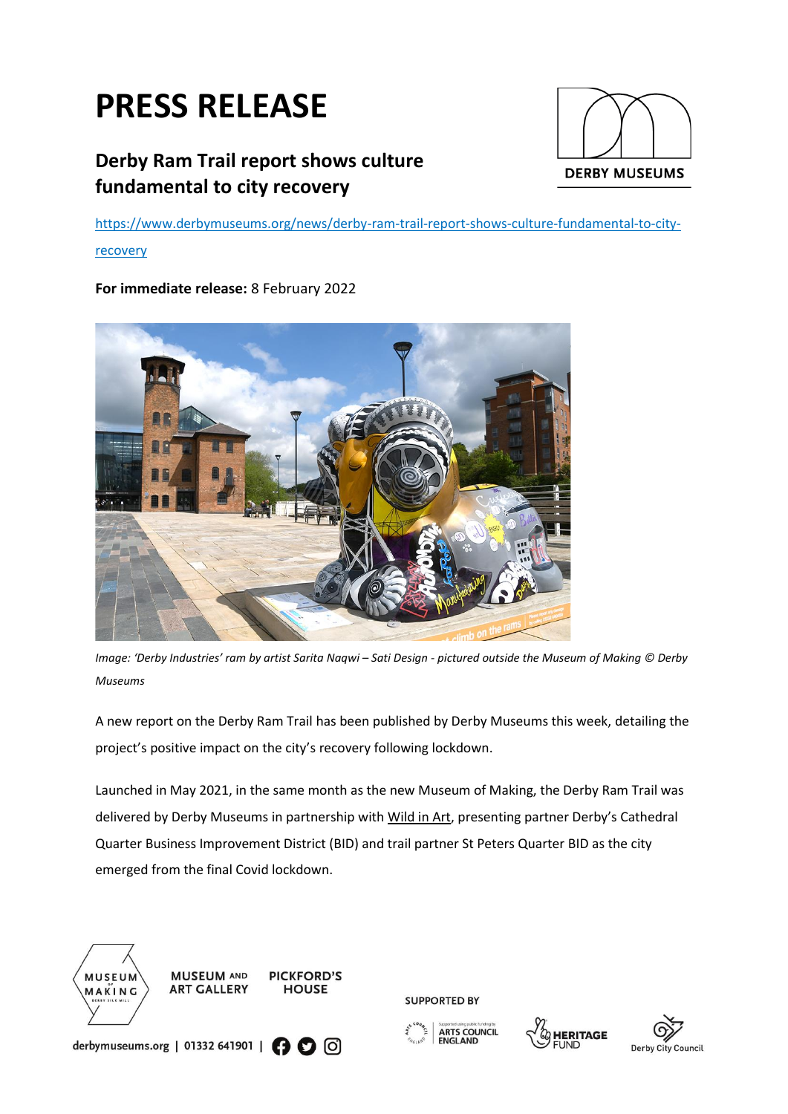# **PRESS RELEASE**

# **Derby Ram Trail report shows culture fundamental to city recovery**



[https://www.derbymuseums.org/news/derby-ram-trail-report-shows-culture-fundamental-to-city-](https://www.derbymuseums.org/news/derby-ram-trail-report-shows-culture-fundamental-to-city-recovery)

# [recovery](https://www.derbymuseums.org/news/derby-ram-trail-report-shows-culture-fundamental-to-city-recovery)

# **For immediate release:** 8 February 2022



*Image: 'Derby Industries' ram by artist Sarita Naqwi – Sati Design - pictured outside the Museum of Making © Derby Museums*

A new report on the Derby Ram Trail has been published by Derby Museums this week, detailing the project's positive impact on the city's recovery following lockdown.

Launched in May 2021, in the same month as the new Museum of Making, the Derby Ram Trail was delivered by Derby Museums in partnership with [Wild in Art](https://www.wildinart.co.uk/), presenting partner Derby's Cathedral Quarter Business Improvement District (BID) and trail partner St Peters Quarter BID as the city emerged from the final Covid lockdown.







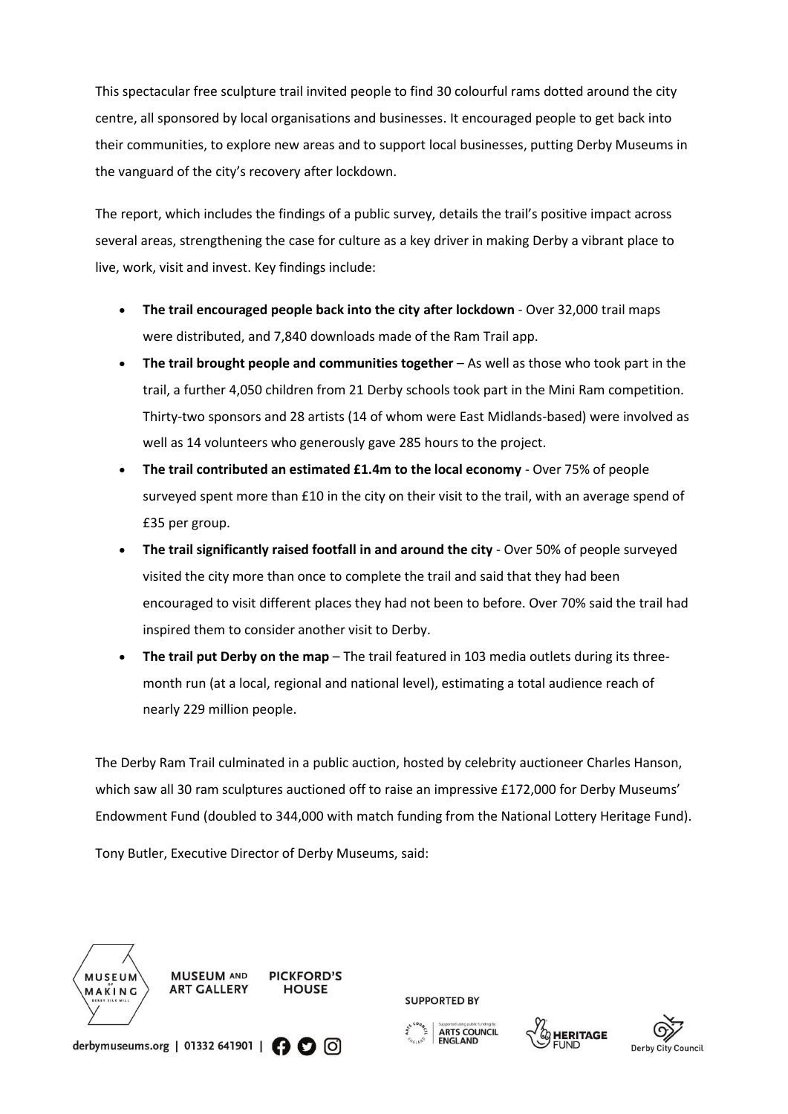This spectacular free sculpture trail invited people to find 30 colourful rams dotted around the city centre, all sponsored by local organisations and businesses. It encouraged people to get back into their communities, to explore new areas and to support local businesses, putting Derby Museums in the vanguard of the city's recovery after lockdown.

The report, which includes the findings of a public survey, details the trail's positive impact across several areas, strengthening the case for culture as a key driver in making Derby a vibrant place to live, work, visit and invest. Key findings include:

- **The trail encouraged people back into the city after lockdown** Over 32,000 trail maps were distributed, and 7,840 downloads made of the Ram Trail app.
- **The trail brought people and communities together** As well as those who took part in the trail, a further 4,050 children from 21 Derby schools took part in the Mini Ram competition. Thirty-two sponsors and 28 artists (14 of whom were East Midlands-based) were involved as well as 14 volunteers who generously gave 285 hours to the project.
- **The trail contributed an estimated £1.4m to the local economy** Over 75% of people surveyed spent more than £10 in the city on their visit to the trail, with an average spend of £35 per group.
- **The trail significantly raised footfall in and around the city**  Over 50% of people surveyed visited the city more than once to complete the trail and said that they had been encouraged to visit different places they had not been to before. Over 70% said the trail had inspired them to consider another visit to Derby.
- **The trail put Derby on the map**  The trail featured in 103 media outlets during its threemonth run (at a local, regional and national level), estimating a total audience reach of nearly 229 million people.

The Derby Ram Trail culminated in a public auction, hosted by celebrity auctioneer Charles Hanson, which saw all 30 ram sculptures auctioned off to raise an impressive £172,000 for Derby Museums' Endowment Fund (doubled to 344,000 with match funding from the National Lottery Heritage Fund).

Tony Butler, Executive Director of Derby Museums, said:







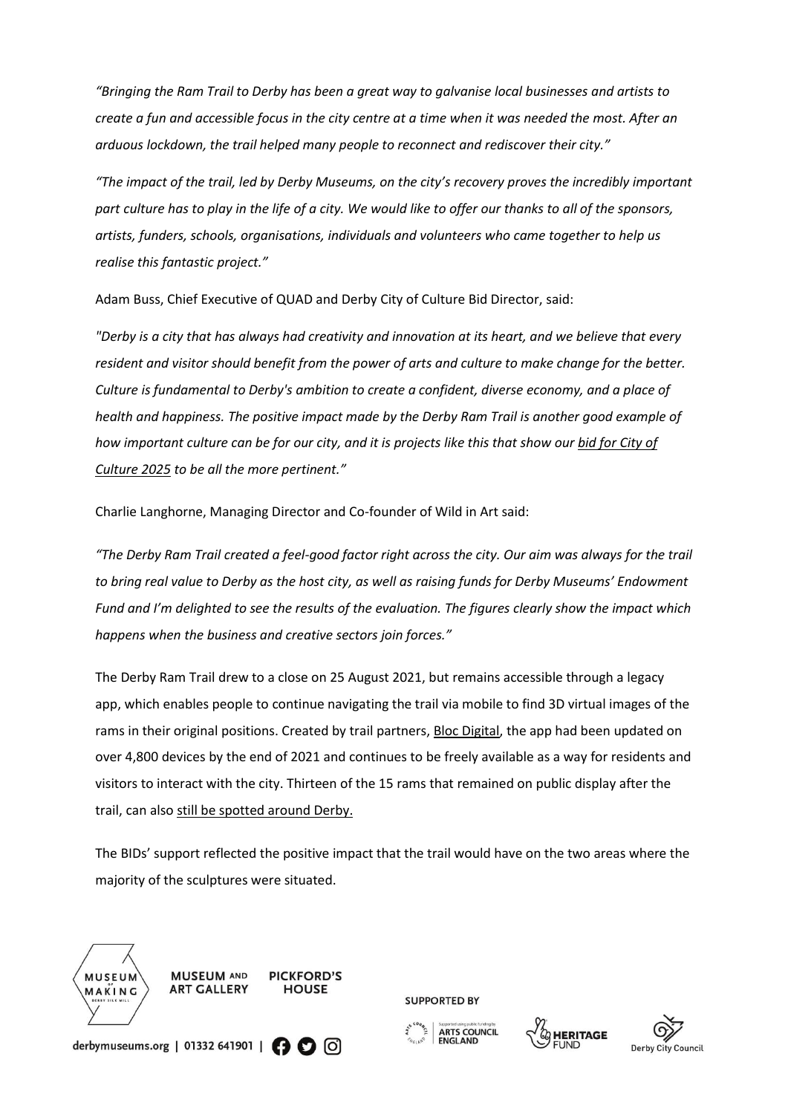*"Bringing the Ram Trail to Derby has been a great way to galvanise local businesses and artists to create a fun and accessible focus in the city centre at a time when it was needed the most. After an arduous lockdown, the trail helped many people to reconnect and rediscover their city."*

*"The impact of the trail, led by Derby Museums, on the city's recovery proves the incredibly important part culture has to play in the life of a city. We would like to offer our thanks to all of the sponsors, artists, funders, schools, organisations, individuals and volunteers who came together to help us realise this fantastic project."*

Adam Buss, Chief Executive of QUAD and Derby City of Culture Bid Director, said:

*"Derby is a city that has always had creativity and innovation at its heart, and we believe that every resident and visitor should benefit from the power of arts and culture to make change for the better. Culture is fundamental to Derby's ambition to create a confident, diverse economy, and a place of health and happiness. The positive impact made by the Derby Ram Trail is another good example of how important culture can be for our city, and it is projects like this that show ou[r bid for City of](https://culturederby.co.uk/2025-bid/)  [Culture 2025](https://culturederby.co.uk/2025-bid/) to be all the more pertinent."*

Charlie Langhorne, Managing Director and Co-founder of Wild in Art said:

*"The Derby Ram Trail created a feel-good factor right across the city. Our aim was always for the trail to bring real value to Derby as the host city, as well as raising funds for Derby Museums' Endowment Fund and I'm delighted to see the results of the evaluation. The figures clearly show the impact which happens when the business and creative sectors join forces."*

The Derby Ram Trail drew to a close on 25 August 2021, but remains accessible through a legacy app, which enables people to continue navigating the trail via mobile to find 3D virtual images of the rams in their original positions. Created by trail partners[, Bloc Digital,](https://bloc-digital.com/) the app had been updated on over 4,800 devices by the end of 2021 and continues to be freely available as a way for residents and visitors to interact with the city. Thirteen of the 15 rams that remained on public display after the trail, can als[o still be spotted around Derby.](https://www.derbymuseums.org/news/the-ram-trail-lives-on)

The BIDs' support reflected the positive impact that the trail would have on the two areas where the majority of the sculptures were situated.







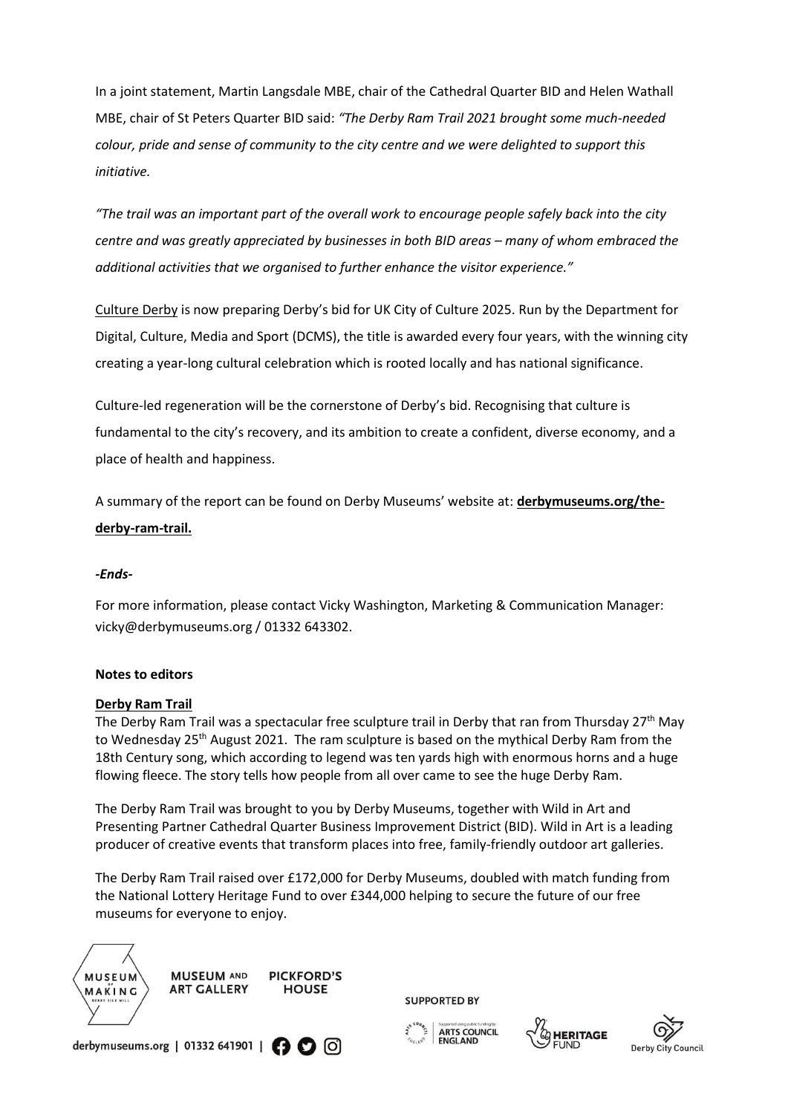In a joint statement, Martin Langsdale MBE, chair of the Cathedral Quarter BID and Helen Wathall MBE, chair of St Peters Quarter BID said: *"The Derby Ram Trail 2021 brought some much-needed colour, pride and sense of community to the city centre and we were delighted to support this initiative.*

*"The trail was an important part of the overall work to encourage people safely back into the city centre and was areatly appreciated by businesses in both BID areas – many of whom embraced the additional activities that we organised to further enhance the visitor experience."*

[Culture Derby](https://culturederby.co.uk/2025-bid/) is now preparing Derby's bid for UK City of Culture 2025. Run by the Department for Digital, Culture, Media and Sport (DCMS), the title is awarded every four years, with the winning city creating a year-long cultural celebration which is rooted locally and has national significance.

Culture-led regeneration will be the cornerstone of Derby's bid. Recognising that culture is fundamental to the city's recovery, and its ambition to create a confident, diverse economy, and a place of health and happiness.

A summary of the report can be found on Derby Museums' website at: **[derbymuseums.org/the](https://www.derbymuseums.org/the-derby-ram-trail)[derby-ram-trail.](https://www.derbymuseums.org/the-derby-ram-trail)**

# *-Ends-*

For more information, please contact Vicky Washington, Marketing & Communication Manager: vicky@derbymuseums.org / 01332 643302.

#### **Notes to editors**

#### **[Derby Ram Trail](https://www.derbyramtrail.org/)**

The Derby Ram Trail was a spectacular free sculpture trail in Derby that ran from Thursday 27th May to Wednesday 25<sup>th</sup> August 2021. The ram sculpture is based on the mythical Derby Ram from the 18th Century song, which according to legend was ten yards high with enormous horns and a huge flowing fleece. The story tells how people from all over came to see the huge Derby Ram.

The Derby Ram Trail was brought to you by Derby Museums, together with Wild in Art and Presenting Partner Cathedral Quarter Business Improvement District (BID). Wild in Art is a leading producer of creative events that transform places into free, family-friendly outdoor art galleries.

The Derby Ram Trail raised over £172,000 for Derby Museums, doubled with match funding from the National Lottery Heritage Fund to over £344,000 helping to secure the future of our free museums for everyone to enjoy.







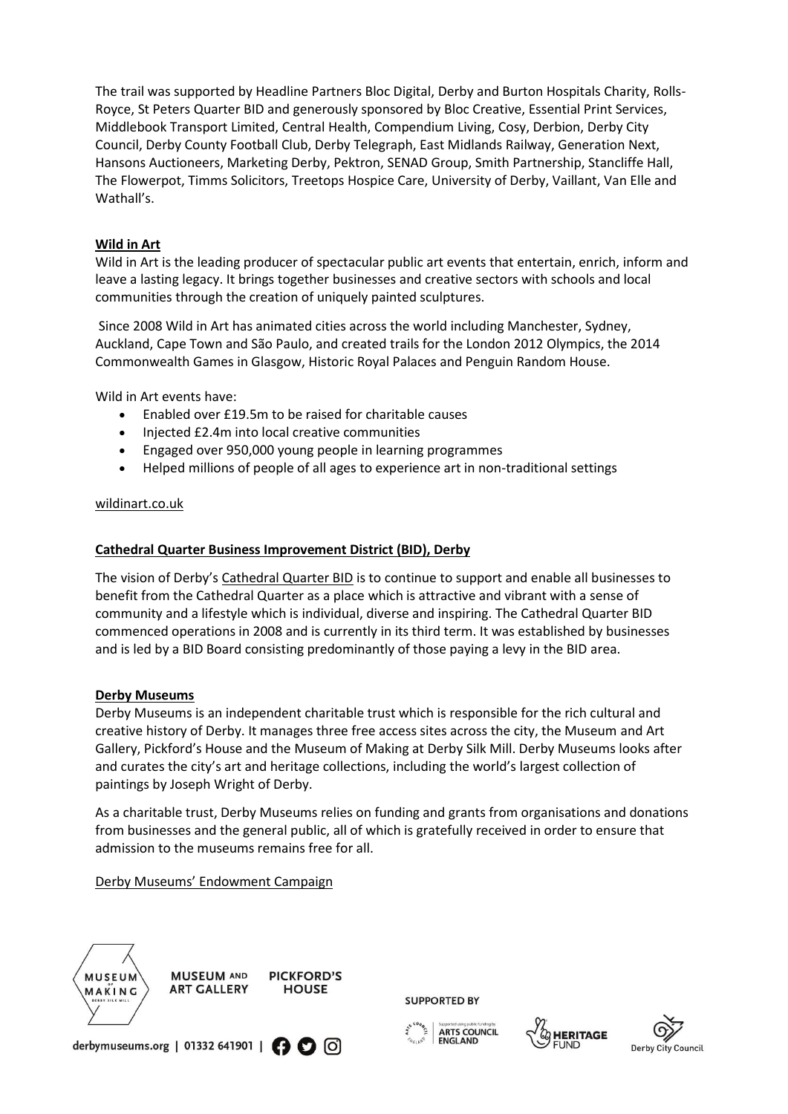The trail was supported by Headline Partners Bloc Digital, Derby and Burton Hospitals Charity, Rolls-Royce, St Peters Quarter BID and generously sponsored by Bloc Creative, Essential Print Services, Middlebook Transport Limited, Central Health, Compendium Living, Cosy, Derbion, Derby City Council, Derby County Football Club, Derby Telegraph, East Midlands Railway, Generation Next, Hansons Auctioneers, Marketing Derby, Pektron, SENAD Group, Smith Partnership, Stancliffe Hall, The Flowerpot, Timms Solicitors, Treetops Hospice Care, University of Derby, Vaillant, Van Elle and Wathall's.

# **Wild in Art**

Wild in Art is the leading producer of spectacular public art events that entertain, enrich, inform and leave a lasting legacy. It brings together businesses and creative sectors with schools and local communities through the creation of uniquely painted sculptures.

Since 2008 Wild in Art has animated cities across the world including Manchester, Sydney, Auckland, Cape Town and São Paulo, and created trails for the London 2012 Olympics, the 2014 Commonwealth Games in Glasgow, Historic Royal Palaces and Penguin Random House.

Wild in Art events have:

- Enabled over £19.5m to be raised for charitable causes
- Injected £2.4m into local creative communities
- Engaged over 950,000 young people in learning programmes
- Helped millions of people of all ages to experience art in non-traditional settings

#### [wildinart.co.uk](https://www.wildinart.co.uk/)

#### **[Cathedral Quarter Business Improvement District \(BID\), Derby](https://www.derbycathedralquarter.co.uk/cq-bid/)**

The vision of Derby's [Cathedral Quarter BID](https://www.derbycathedralquarter.co.uk/cq-bid/) is to continue to support and enable all businesses to benefit from the Cathedral Quarter as a place which is attractive and vibrant with a sense of community and a lifestyle which is individual, diverse and inspiring. The Cathedral Quarter BID commenced operations in 2008 and is currently in its third term. It was established by businesses and is led by a BID Board consisting predominantly of those paying a levy in the BID area.

#### **[Derby Museums](https://www.derbymuseums.org/)**

Derby Museums is an independent charitable trust which is responsible for the rich cultural and creative history of Derby. It manages three free access sites across the city, the Museum and Art Gallery, Pickford's House and the Museum of Making at Derby Silk Mill. Derby Museums looks after and curates the city's art and heritage collections, including the world's largest collection of paintings by Joseph Wright of Derby.

As a charitable trust, Derby Museums relies on funding and grants from organisations and donations from businesses and the general public, all of which is gratefully received in order to ensure that admission to the museums remains free for all.

[Derby Museums' Endowment Campaign](https://www.derbymuseums.org/support/heritage-endowments-fund)